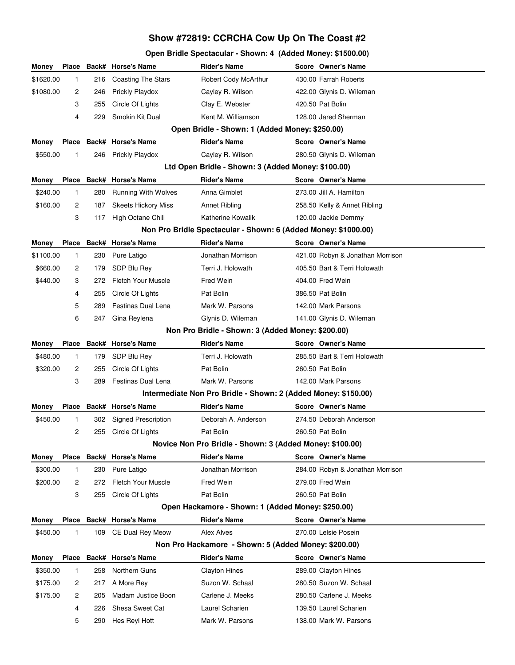# **Show #72819: CCRCHA Cow Up On The Coast #2**

# **Open Bridle Spectacular - Shown: 4 (Added Money: \$1500.00)**

| Money                                                          | <b>Place</b>                                       |     | <b>Back# Horse's Name</b>                         | <b>Rider's Name</b>                                            |  | Score Owner's Name               |  |  |  |
|----------------------------------------------------------------|----------------------------------------------------|-----|---------------------------------------------------|----------------------------------------------------------------|--|----------------------------------|--|--|--|
| \$1620.00                                                      | 1                                                  | 216 | <b>Coasting The Stars</b>                         | Robert Cody McArthur                                           |  | 430.00 Farrah Roberts            |  |  |  |
| \$1080.00                                                      | 2                                                  | 246 | Prickly Playdox                                   | Cayley R. Wilson                                               |  | 422.00 Glynis D. Wileman         |  |  |  |
|                                                                | 3                                                  | 255 | Circle Of Lights                                  | Clay E. Webster                                                |  | 420.50 Pat Bolin                 |  |  |  |
|                                                                | 4                                                  | 229 | Smokin Kit Dual                                   | Kent M. Williamson                                             |  | 128.00 Jared Sherman             |  |  |  |
|                                                                |                                                    |     | Open Bridle - Shown: 1 (Added Money: \$250.00)    |                                                                |  |                                  |  |  |  |
| Money                                                          |                                                    |     | Place Back# Horse's Name                          | <b>Rider's Name</b>                                            |  | <b>Score Owner's Name</b>        |  |  |  |
| \$550.00                                                       | 1                                                  |     | 246 Prickly Playdox                               | Cayley R. Wilson                                               |  | 280.50 Glynis D. Wileman         |  |  |  |
|                                                                | Ltd Open Bridle - Shown: 3 (Added Money: \$100.00) |     |                                                   |                                                                |  |                                  |  |  |  |
| Money                                                          |                                                    |     | Place Back# Horse's Name                          | <b>Rider's Name</b>                                            |  | Score Owner's Name               |  |  |  |
| \$240.00                                                       | $\mathbf{1}$                                       | 280 | <b>Running With Wolves</b>                        | Anna Gimblet                                                   |  | 273.00 Jill A. Hamilton          |  |  |  |
| \$160.00                                                       | 2                                                  | 187 | <b>Skeets Hickory Miss</b>                        | <b>Annet Ribling</b>                                           |  | 258.50 Kelly & Annet Ribling     |  |  |  |
|                                                                | 3                                                  | 117 | High Octane Chili                                 | Katherine Kowalik                                              |  | 120.00 Jackie Demmy              |  |  |  |
| Non Pro Bridle Spectacular - Shown: 6 (Added Money: \$1000.00) |                                                    |     |                                                   |                                                                |  |                                  |  |  |  |
| Money                                                          | <b>Place</b>                                       |     | Back# Horse's Name                                | <b>Rider's Name</b>                                            |  | <b>Score Owner's Name</b>        |  |  |  |
| \$1100.00                                                      | 1                                                  | 230 | Pure Latigo                                       | Jonathan Morrison                                              |  | 421.00 Robyn & Jonathan Morrison |  |  |  |
| \$660.00                                                       | 2                                                  | 179 | SDP Blu Rey                                       | Terri J. Holowath                                              |  | 405.50 Bart & Terri Holowath     |  |  |  |
| \$440.00                                                       | 3                                                  | 272 | <b>Fletch Your Muscle</b>                         | Fred Wein                                                      |  | 404.00 Fred Wein                 |  |  |  |
|                                                                | 4                                                  | 255 | Circle Of Lights                                  | Pat Bolin                                                      |  | 386.50 Pat Bolin                 |  |  |  |
|                                                                | 5                                                  | 289 | Festinas Dual Lena                                | Mark W. Parsons                                                |  | 142.00 Mark Parsons              |  |  |  |
|                                                                | 6                                                  | 247 | Gina Reylena                                      | Glynis D. Wileman                                              |  | 141.00 Glynis D. Wileman         |  |  |  |
|                                                                |                                                    |     |                                                   | Non Pro Bridle - Shown: 3 (Added Money: \$200.00)              |  |                                  |  |  |  |
| Money                                                          | <b>Place</b>                                       |     | Back# Horse's Name                                | <b>Rider's Name</b>                                            |  | Score Owner's Name               |  |  |  |
| \$480.00                                                       | 1                                                  | 179 | SDP Blu Rey                                       | Terri J. Holowath                                              |  | 285.50 Bart & Terri Holowath     |  |  |  |
| \$320.00                                                       | 2                                                  | 255 | Circle Of Lights                                  | Pat Bolin                                                      |  | 260.50 Pat Bolin                 |  |  |  |
|                                                                | 3                                                  | 289 | Festinas Dual Lena                                | Mark W. Parsons                                                |  | 142.00 Mark Parsons              |  |  |  |
|                                                                |                                                    |     |                                                   | Intermediate Non Pro Bridle - Shown: 2 (Added Money: \$150.00) |  |                                  |  |  |  |
| Money                                                          |                                                    |     | Place Back# Horse's Name                          | <b>Rider's Name</b>                                            |  | Score Owner's Name               |  |  |  |
| \$450.00                                                       | 1                                                  | 302 | <b>Signed Prescription</b>                        | Deborah A. Anderson                                            |  | 274.50 Deborah Anderson          |  |  |  |
|                                                                | 2                                                  | 255 | Circle Of Lights                                  | Pat Bolin                                                      |  | 260.50 Pat Bolin                 |  |  |  |
|                                                                |                                                    |     |                                                   | Novice Non Pro Bridle - Shown: 3 (Added Money: \$100.00)       |  |                                  |  |  |  |
| Money                                                          |                                                    |     | Place Back# Horse's Name                          | <b>Rider's Name</b>                                            |  | Score Owner's Name               |  |  |  |
| \$300.00                                                       | 1                                                  | 230 | Pure Latigo                                       | Jonathan Morrison                                              |  | 284.00 Robyn & Jonathan Morrison |  |  |  |
| \$200.00                                                       | 2                                                  | 272 | <b>Fletch Your Muscle</b>                         | Fred Wein                                                      |  | 279.00 Fred Wein                 |  |  |  |
|                                                                | 3                                                  | 255 | Circle Of Lights                                  | Pat Bolin                                                      |  | 260.50 Pat Bolin                 |  |  |  |
|                                                                |                                                    |     | Open Hackamore - Shown: 1 (Added Money: \$250.00) |                                                                |  |                                  |  |  |  |
| Money                                                          |                                                    |     | Place Back# Horse's Name                          | <b>Rider's Name</b>                                            |  | Score Owner's Name               |  |  |  |
| \$450.00                                                       | 1                                                  |     | 109 CE Dual Rey Meow                              | Alex Alves                                                     |  | 270.00 Lelsie Posein             |  |  |  |
| Non Pro Hackamore - Shown: 5 (Added Money: \$200.00)           |                                                    |     |                                                   |                                                                |  |                                  |  |  |  |
| Money                                                          |                                                    |     | Place Back# Horse's Name                          | <b>Rider's Name</b>                                            |  | Score Owner's Name               |  |  |  |
| \$350.00                                                       | $\mathbf{1}$                                       | 258 | Northern Guns                                     | <b>Clayton Hines</b>                                           |  | 289.00 Clayton Hines             |  |  |  |
| \$175.00                                                       | 2                                                  | 217 | A More Rey                                        | Suzon W. Schaal                                                |  | 280.50 Suzon W. Schaal           |  |  |  |
| \$175.00                                                       | $\overline{c}$                                     | 205 | Madam Justice Boon                                | Carlene J. Meeks                                               |  | 280.50 Carlene J. Meeks          |  |  |  |
|                                                                | 4                                                  | 226 | Shesa Sweet Cat                                   | Laurel Scharien                                                |  | 139.50 Laurel Scharien           |  |  |  |
|                                                                | 5                                                  | 290 | Hes Reyl Hott                                     | Mark W. Parsons                                                |  | 138.00 Mark W. Parsons           |  |  |  |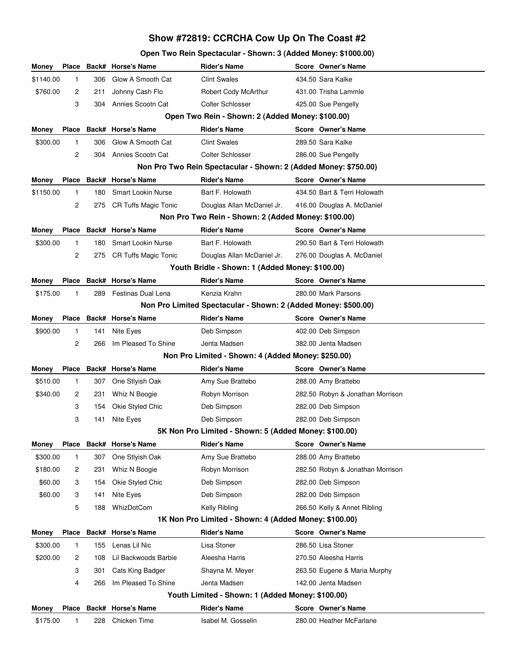# **Show #72819: CCRCHA Cow Up On The Coast #2**

## **Open Two Rein Spectacular - Shown: 3 (Added Money: \$1000.00)**

| Money                                                 | <b>Place</b>                                                    |     | Back# Horse's Name          | <b>Rider's Name</b>                                            |  | Score Owner's Name               |  |
|-------------------------------------------------------|-----------------------------------------------------------------|-----|-----------------------------|----------------------------------------------------------------|--|----------------------------------|--|
| \$1140.00                                             | 1                                                               | 306 | Glow A Smooth Cat           | <b>Clint Swales</b>                                            |  | 434.50 Sara Kalke                |  |
| \$760.00                                              | 2                                                               | 211 | Johnny Cash Flo             | Robert Cody McArthur                                           |  | 431.00 Trisha Lammle             |  |
|                                                       | 3                                                               | 304 | Annies Scootn Cat           | <b>Colter Schlosser</b>                                        |  | 425.00 Sue Pengelly              |  |
| Open Two Rein - Shown: 2 (Added Money: \$100.00)      |                                                                 |     |                             |                                                                |  |                                  |  |
| Money                                                 | <b>Place</b>                                                    |     | Back# Horse's Name          | <b>Rider's Name</b>                                            |  | Score Owner's Name               |  |
| \$300.00                                              | $\mathbf{1}$                                                    | 306 | Glow A Smooth Cat           | <b>Clint Swales</b>                                            |  | 289.50 Sara Kalke                |  |
|                                                       | 2                                                               | 304 | Annies Scootn Cat           | <b>Colter Schlosser</b>                                        |  | 286.00 Sue Pengelly              |  |
|                                                       | Non Pro Two Rein Spectacular - Shown: 2 (Added Money: \$750.00) |     |                             |                                                                |  |                                  |  |
| Money                                                 | Place                                                           |     | Back# Horse's Name          | <b>Rider's Name</b>                                            |  | Score Owner's Name               |  |
| \$1150.00                                             | $\mathbf{1}$                                                    | 180 | <b>Smart Lookin Nurse</b>   | Bart F. Holowath                                               |  | 434.50 Bart & Terri Holowath     |  |
|                                                       | 2                                                               | 275 | <b>CR Tuffs Magic Tonic</b> | Douglas Allan McDaniel Jr.                                     |  | 416.00 Douglas A. McDaniel       |  |
|                                                       | Non Pro Two Rein - Shown: 2 (Added Money: \$100.00)             |     |                             |                                                                |  |                                  |  |
| Money                                                 | <b>Place</b>                                                    |     | Back# Horse's Name          | <b>Rider's Name</b>                                            |  | Score Owner's Name               |  |
| \$300.00                                              | $\mathbf{1}$                                                    | 180 | <b>Smart Lookin Nurse</b>   | Bart F. Holowath                                               |  | 290.50 Bart & Terri Holowath     |  |
|                                                       | 2                                                               | 275 | <b>CR Tuffs Magic Tonic</b> | Douglas Allan McDaniel Jr.                                     |  | 276.00 Douglas A. McDaniel       |  |
|                                                       |                                                                 |     |                             | Youth Bridle - Shown: 1 (Added Money: \$100.00)                |  |                                  |  |
| Money                                                 | <b>Place</b>                                                    |     | Back# Horse's Name          | <b>Rider's Name</b>                                            |  | Score Owner's Name               |  |
| \$175.00                                              | 1                                                               | 289 | Festinas Dual Lena          | Kenzia Krahn                                                   |  | 280.00 Mark Parsons              |  |
|                                                       |                                                                 |     |                             | Non Pro Limited Spectacular - Shown: 2 (Added Money: \$500.00) |  |                                  |  |
| Money                                                 | Place                                                           |     | Back# Horse's Name          | <b>Rider's Name</b>                                            |  | Score Owner's Name               |  |
| \$900.00                                              | 1                                                               | 141 | Nite Eyes                   | Deb Simpson                                                    |  | 402.00 Deb Simpson               |  |
|                                                       | 2                                                               | 266 | Im Pleased To Shine         | Jenta Madsen                                                   |  | 382.00 Jenta Madsen              |  |
|                                                       |                                                                 |     |                             | Non Pro Limited - Shown: 4 (Added Money: \$250.00)             |  |                                  |  |
| Money                                                 | <b>Place</b>                                                    |     | Back# Horse's Name          | <b>Rider's Name</b>                                            |  | Score Owner's Name               |  |
| \$510.00                                              | 1                                                               | 307 | One Stlyish Oak             | Amy Sue Brattebo                                               |  | 288.00 Amy Brattebo              |  |
| \$340.00                                              | 2                                                               | 231 | Whiz N Boogie               | Robyn Morrison                                                 |  | 282.50 Robyn & Jonathan Morrison |  |
|                                                       | 3                                                               | 154 | Okie Styled Chic            | Deb Simpson                                                    |  | 282.00 Deb Simpson               |  |
|                                                       | 3                                                               | 141 | Nite Eyes                   | Deb Simpson                                                    |  | 282.00 Deb Simpson               |  |
|                                                       |                                                                 |     |                             | 5K Non Pro Limited - Shown: 5 (Added Money: \$100.00)          |  |                                  |  |
| Money                                                 |                                                                 |     | Place Back# Horse's Name    | <b>Rider's Name</b>                                            |  | Score Owner's Name               |  |
| \$300.00                                              | 1                                                               | 307 | One Stlyish Oak             | Amy Sue Brattebo                                               |  | 288.00 Amy Brattebo              |  |
| \$180.00                                              | 2                                                               | 231 | Whiz N Boogie               | Robyn Morrison                                                 |  | 282.50 Robyn & Jonathan Morrison |  |
| \$60.00                                               | 3                                                               | 154 | Okie Styled Chic            | Deb Simpson                                                    |  | 282.00 Deb Simpson               |  |
| \$60.00                                               | 3                                                               | 141 | Nite Eyes                   | Deb Simpson                                                    |  | 282.00 Deb Simpson               |  |
|                                                       | 5                                                               | 188 | WhizDotCom                  | Kelly Ribling                                                  |  | 266.50 Kelly & Annet Ribling     |  |
| 1K Non Pro Limited - Shown: 4 (Added Money: \$100.00) |                                                                 |     |                             |                                                                |  |                                  |  |
| Money                                                 | <b>Place</b>                                                    |     | <b>Back# Horse's Name</b>   | <b>Rider's Name</b>                                            |  | Score Owner's Name               |  |
| \$300.00                                              | 1                                                               | 155 | Lenas Lil Nic               | Lisa Stoner                                                    |  | 286.50 Lisa Stoner               |  |
| \$200.00                                              | 2                                                               | 108 | Lil Backwoods Barbie        | Aleesha Harris                                                 |  | 270.50 Aleesha Harris            |  |
|                                                       | 3                                                               | 301 | Cats King Badger            | Shayna M. Meyer                                                |  | 263.50 Eugene & Maria Murphy     |  |
|                                                       | 4                                                               | 266 | Im Pleased To Shine         | Jenta Madsen                                                   |  | 142.00 Jenta Madsen              |  |
| Youth Limited - Shown: 1 (Added Money: \$100.00)      |                                                                 |     |                             |                                                                |  |                                  |  |
| Money                                                 | Place                                                           |     | Back# Horse's Name          | <b>Rider's Name</b>                                            |  | Score Owner's Name               |  |
| \$175.00                                              | 1                                                               | 228 | Chicken Time                | Isabel M. Gosselin                                             |  | 280.00 Heather McFarlane         |  |